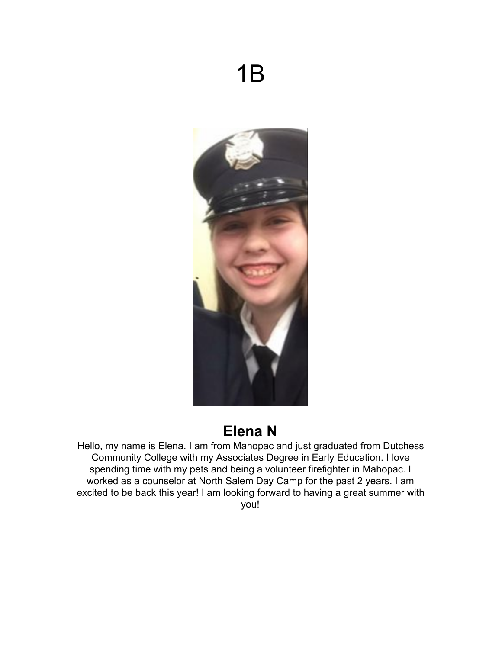# 1B



## **Elena N**

Hello, my name is Elena. I am from Mahopac and just graduated from Dutchess Community College with my Associates Degree in Early Education. I love spending time with my pets and being a volunteer firefighter in Mahopac. I worked as a counselor at North Salem Day Camp for the past 2 years. I am excited to be back this year! I am looking forward to having a great summer with you!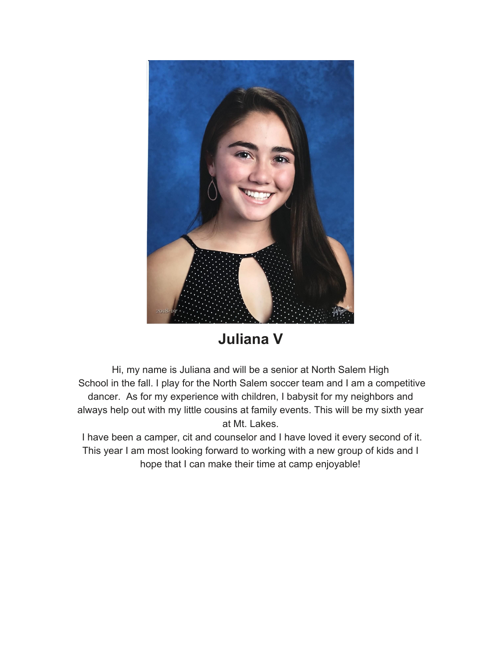

#### **Juliana V**

Hi, my name is Juliana and will be a senior at North Salem High School in the fall. I play for the North Salem soccer team and I am a competitive dancer. As for my experience with children, I babysit for my neighbors and always help out with my little cousins at family events. This will be my sixth year at Mt. Lakes.

 I have been a camper, cit and counselor and I have loved it every second of it. This year I am most looking forward to working with a new group of kids and I hope that I can make their time at camp enjoyable!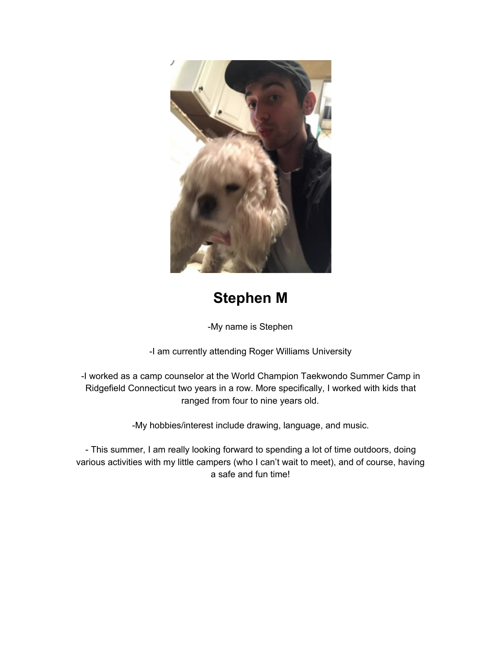

### **Stephen M**

-My name is Stephen

-I am currently attending Roger Williams University

-I worked as a camp counselor at the World Champion Taekwondo Summer Camp in Ridgefield Connecticut two years in a row. More specifically, I worked with kids that ranged from four to nine years old.

-My hobbies/interest include drawing, language, and music.

- This summer, I am really looking forward to spending a lot of time outdoors, doing various activities with my little campers (who I can't wait to meet), and of course, having a safe and fun time!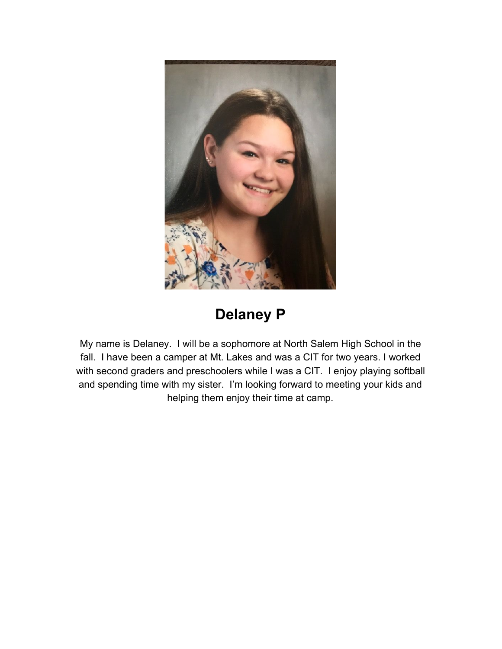

## **Delaney P**

My name is Delaney. I will be a sophomore at North Salem High School in the fall. I have been a camper at Mt. Lakes and was a CIT for two years. I worked with second graders and preschoolers while I was a CIT. I enjoy playing softball and spending time with my sister. I'm looking forward to meeting your kids and helping them enjoy their time at camp.